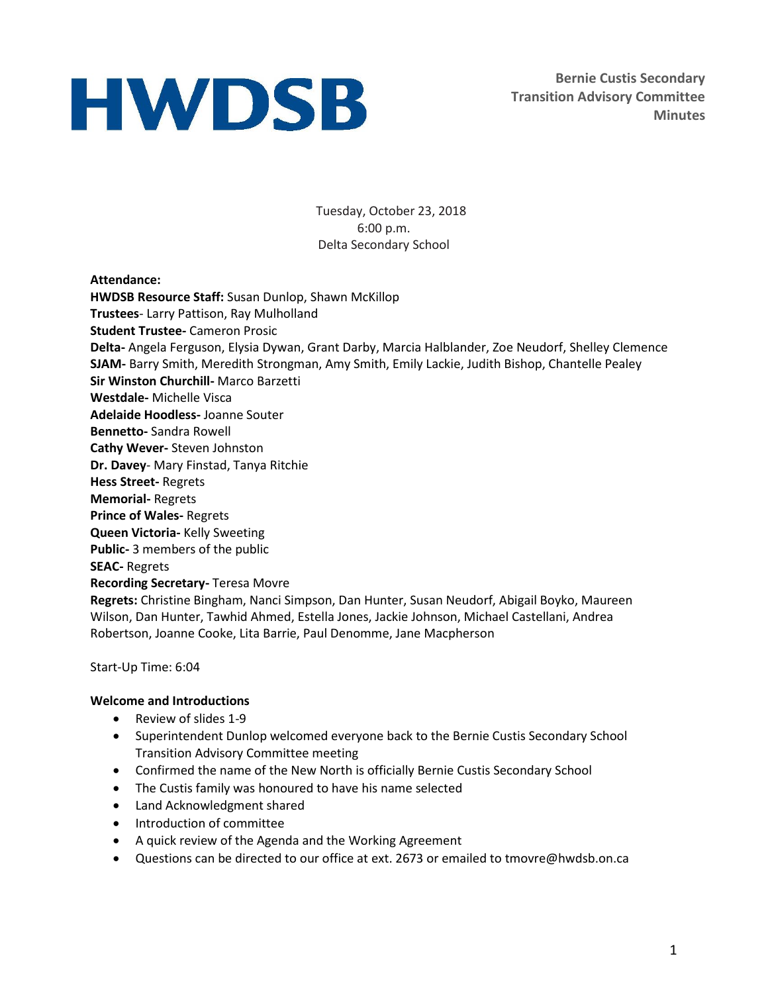**Bernie Custis Secondary Transition Advisory Committee Minutes**

Tuesday, October 23, 2018 6:00 p.m. Delta Secondary School

#### **Attendance:**

**HWDSB Resource Staff:** Susan Dunlop, Shawn McKillop **Trustees**- Larry Pattison, Ray Mulholland **Student Trustee-** Cameron Prosic **Delta-** Angela Ferguson, Elysia Dywan, Grant Darby, Marcia Halblander, Zoe Neudorf, Shelley Clemence **SJAM-** Barry Smith, Meredith Strongman, Amy Smith, Emily Lackie, Judith Bishop, Chantelle Pealey **Sir Winston Churchill-** Marco Barzetti **Westdale-** Michelle Visca **Adelaide Hoodless-** Joanne Souter **Bennetto-** Sandra Rowell **Cathy Wever-** Steven Johnston **Dr. Davey**- Mary Finstad, Tanya Ritchie **Hess Street-** Regrets **Memorial-** Regrets **Prince of Wales-** Regrets **Queen Victoria-** Kelly Sweeting **Public-** 3 members of the public **SEAC-** Regrets **Recording Secretary-** Teresa Movre **Regrets:** Christine Bingham, Nanci Simpson, Dan Hunter, Susan Neudorf, Abigail Boyko, Maureen Wilson, Dan Hunter, Tawhid Ahmed, Estella Jones, Jackie Johnson, Michael Castellani, Andrea Robertson, Joanne Cooke, Lita Barrie, Paul Denomme, Jane Macpherson

Start-Up Time: 6:04

#### **Welcome and Introductions**

- Review of slides 1-9
- Superintendent Dunlop welcomed everyone back to the Bernie Custis Secondary School Transition Advisory Committee meeting
- Confirmed the name of the New North is officially Bernie Custis Secondary School
- The Custis family was honoured to have his name selected
- Land Acknowledgment shared
- Introduction of committee
- A quick review of the Agenda and the Working Agreement
- Questions can be directed to our office at ext. 2673 or emailed to tmovre@hwdsb.on.ca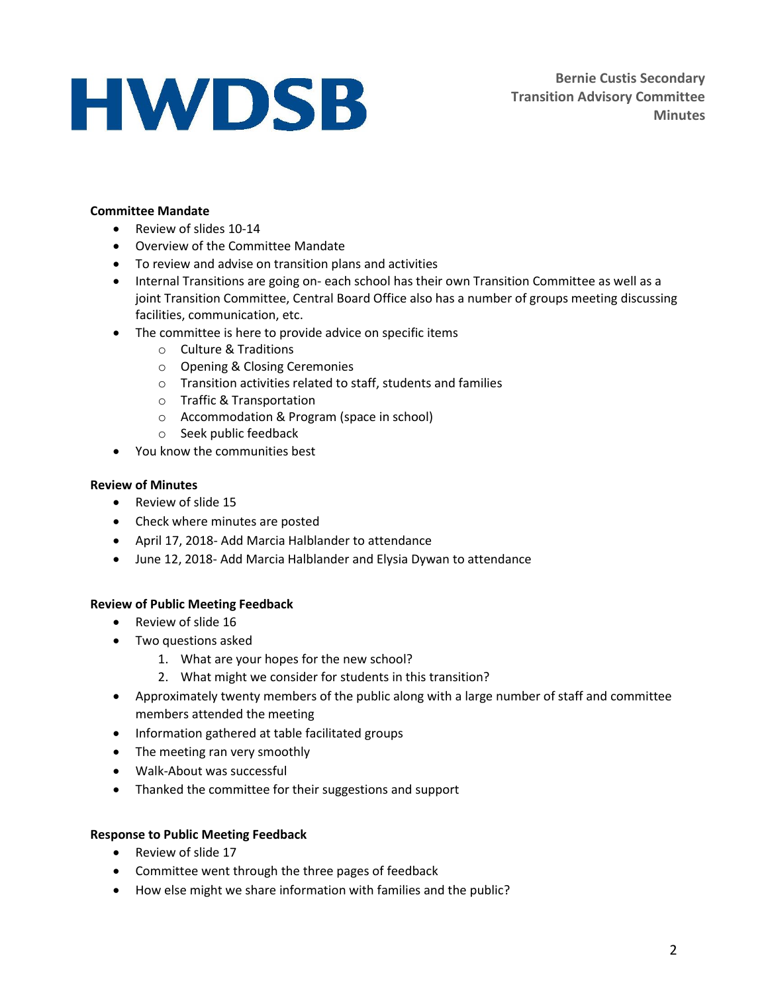### **Committee Mandate**

- Review of slides 10-14
- Overview of the Committee Mandate
- To review and advise on transition plans and activities
- Internal Transitions are going on- each school has their own Transition Committee as well as a joint Transition Committee, Central Board Office also has a number of groups meeting discussing facilities, communication, etc.
- The committee is here to provide advice on specific items
	- o Culture & Traditions
	- o Opening & Closing Ceremonies
	- o Transition activities related to staff, students and families
	- o Traffic & Transportation
	- o Accommodation & Program (space in school)
	- o Seek public feedback
- You know the communities best

#### **Review of Minutes**

- Review of slide 15
- Check where minutes are posted
- April 17, 2018- Add Marcia Halblander to attendance
- June 12, 2018- Add Marcia Halblander and Elysia Dywan to attendance

#### **Review of Public Meeting Feedback**

- Review of slide 16
- Two questions asked
	- 1. What are your hopes for the new school?
	- 2. What might we consider for students in this transition?
- Approximately twenty members of the public along with a large number of staff and committee members attended the meeting
- Information gathered at table facilitated groups
- The meeting ran very smoothly
- Walk-About was successful
- Thanked the committee for their suggestions and support

#### **Response to Public Meeting Feedback**

- Review of slide 17
- Committee went through the three pages of feedback
- How else might we share information with families and the public?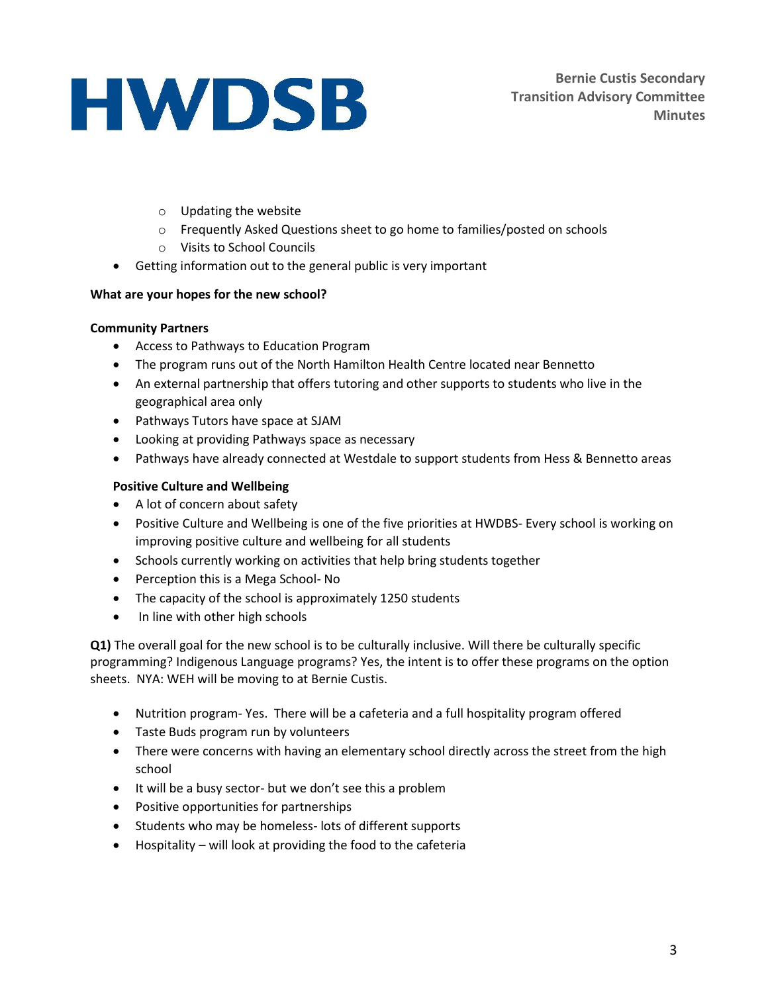- o Updating the website
- o Frequently Asked Questions sheet to go home to families/posted on schools
- o Visits to School Councils
- Getting information out to the general public is very important

## **What are your hopes for the new school?**

## **Community Partners**

- Access to Pathways to Education Program
- The program runs out of the North Hamilton Health Centre located near Bennetto
- An external partnership that offers tutoring and other supports to students who live in the geographical area only
- Pathways Tutors have space at SJAM
- Looking at providing Pathways space as necessary
- Pathways have already connected at Westdale to support students from Hess & Bennetto areas

## **Positive Culture and Wellbeing**

- A lot of concern about safety
- Positive Culture and Wellbeing is one of the five priorities at HWDBS- Every school is working on improving positive culture and wellbeing for all students
- Schools currently working on activities that help bring students together
- Perception this is a Mega School- No
- The capacity of the school is approximately 1250 students
- In line with other high schools

**Q1)** The overall goal for the new school is to be culturally inclusive. Will there be culturally specific programming? Indigenous Language programs? Yes, the intent is to offer these programs on the option sheets. NYA: WEH will be moving to at Bernie Custis.

- Nutrition program- Yes. There will be a cafeteria and a full hospitality program offered
- Taste Buds program run by volunteers
- There were concerns with having an elementary school directly across the street from the high school
- It will be a busy sector- but we don't see this a problem
- Positive opportunities for partnerships
- Students who may be homeless- lots of different supports
- Hospitality will look at providing the food to the cafeteria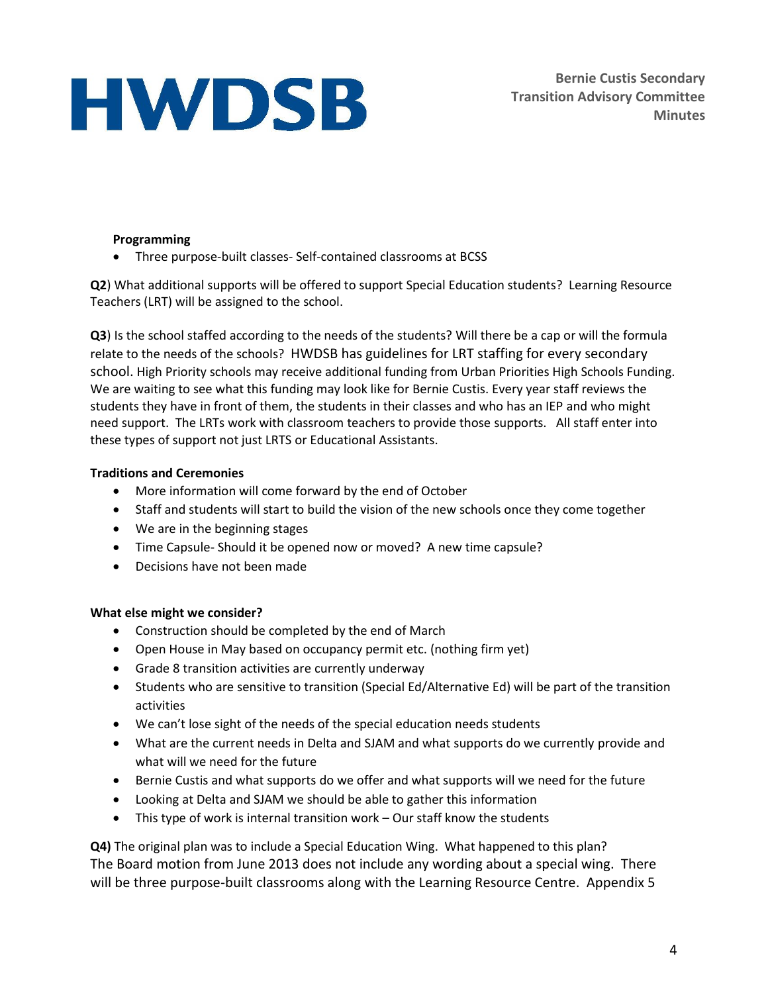**Bernie Custis Secondary Transition Advisory Committee Minutes**

### **Programming**

Three purpose-built classes- Self-contained classrooms at BCSS

**Q2**) What additional supports will be offered to support Special Education students? Learning Resource Teachers (LRT) will be assigned to the school.

**Q3**) Is the school staffed according to the needs of the students? Will there be a cap or will the formula relate to the needs of the schools? HWDSB has guidelines for LRT staffing for every secondary school. High Priority schools may receive additional funding from Urban Priorities High Schools Funding. We are waiting to see what this funding may look like for Bernie Custis. Every year staff reviews the students they have in front of them, the students in their classes and who has an IEP and who might need support. The LRTs work with classroom teachers to provide those supports. All staff enter into these types of support not just LRTS or Educational Assistants.

### **Traditions and Ceremonies**

- More information will come forward by the end of October
- Staff and students will start to build the vision of the new schools once they come together
- We are in the beginning stages
- Time Capsule- Should it be opened now or moved? A new time capsule?
- Decisions have not been made

#### **What else might we consider?**

- Construction should be completed by the end of March
- Open House in May based on occupancy permit etc. (nothing firm yet)
- Grade 8 transition activities are currently underway
- Students who are sensitive to transition (Special Ed/Alternative Ed) will be part of the transition activities
- We can't lose sight of the needs of the special education needs students
- What are the current needs in Delta and SJAM and what supports do we currently provide and what will we need for the future
- Bernie Custis and what supports do we offer and what supports will we need for the future
- Looking at Delta and SJAM we should be able to gather this information
- This type of work is internal transition work Our staff know the students

**Q4)** The original plan was to include a Special Education Wing. What happened to this plan? The Board motion from June 2013 does not include any wording about a special wing. There will be three purpose-built classrooms along with the Learning Resource Centre. Appendix 5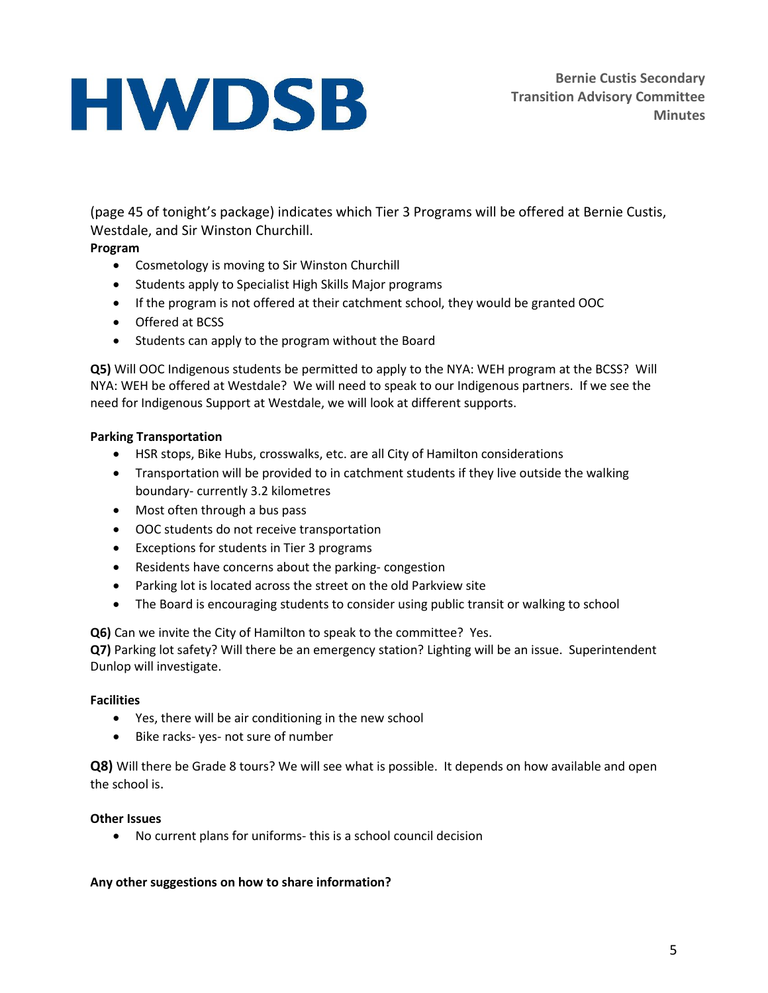(page 45 of tonight's package) indicates which Tier 3 Programs will be offered at Bernie Custis, Westdale, and Sir Winston Churchill.

## **Program**

- Cosmetology is moving to Sir Winston Churchill
- Students apply to Specialist High Skills Major programs
- If the program is not offered at their catchment school, they would be granted OOC
- Offered at BCSS
- Students can apply to the program without the Board

**Q5)** Will OOC Indigenous students be permitted to apply to the NYA: WEH program at the BCSS? Will NYA: WEH be offered at Westdale? We will need to speak to our Indigenous partners. If we see the need for Indigenous Support at Westdale, we will look at different supports.

#### **Parking Transportation**

- HSR stops, Bike Hubs, crosswalks, etc. are all City of Hamilton considerations
- Transportation will be provided to in catchment students if they live outside the walking boundary- currently 3.2 kilometres
- Most often through a bus pass
- OOC students do not receive transportation
- Exceptions for students in Tier 3 programs
- Residents have concerns about the parking- congestion
- Parking lot is located across the street on the old Parkview site
- The Board is encouraging students to consider using public transit or walking to school

**Q6)** Can we invite the City of Hamilton to speak to the committee? Yes.

**Q7)** Parking lot safety? Will there be an emergency station? Lighting will be an issue. Superintendent Dunlop will investigate.

#### **Facilities**

- Yes, there will be air conditioning in the new school
- Bike racks- yes- not sure of number

**Q8)** Will there be Grade 8 tours? We will see what is possible. It depends on how available and open the school is.

#### **Other Issues**

No current plans for uniforms- this is a school council decision

#### **Any other suggestions on how to share information?**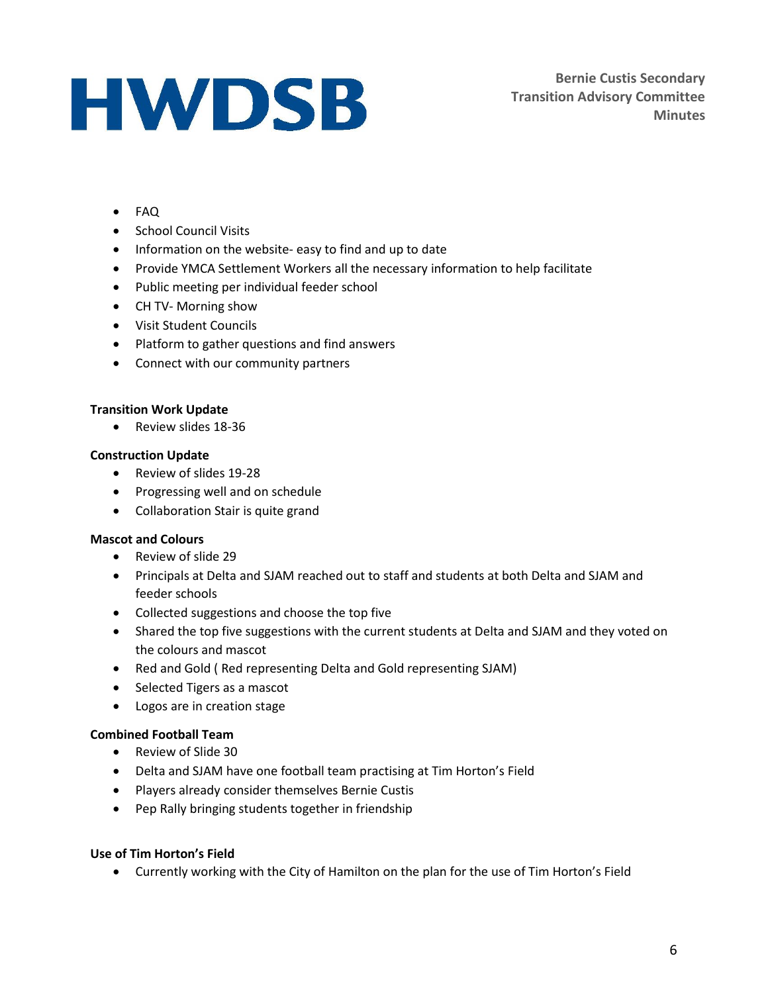- FAQ
- School Council Visits
- Information on the website- easy to find and up to date
- Provide YMCA Settlement Workers all the necessary information to help facilitate
- Public meeting per individual feeder school
- CH TV- Morning show
- Visit Student Councils
- Platform to gather questions and find answers
- Connect with our community partners

#### **Transition Work Update**

• Review slides 18-36

#### **Construction Update**

- Review of slides 19-28
- Progressing well and on schedule
- Collaboration Stair is quite grand

#### **Mascot and Colours**

- Review of slide 29
- Principals at Delta and SJAM reached out to staff and students at both Delta and SJAM and feeder schools
- Collected suggestions and choose the top five
- Shared the top five suggestions with the current students at Delta and SJAM and they voted on the colours and mascot
- Red and Gold ( Red representing Delta and Gold representing SJAM)
- Selected Tigers as a mascot
- Logos are in creation stage

#### **Combined Football Team**

- Review of Slide 30
- Delta and SJAM have one football team practising at Tim Horton's Field
- Players already consider themselves Bernie Custis
- Pep Rally bringing students together in friendship

#### **Use of Tim Horton's Field**

Currently working with the City of Hamilton on the plan for the use of Tim Horton's Field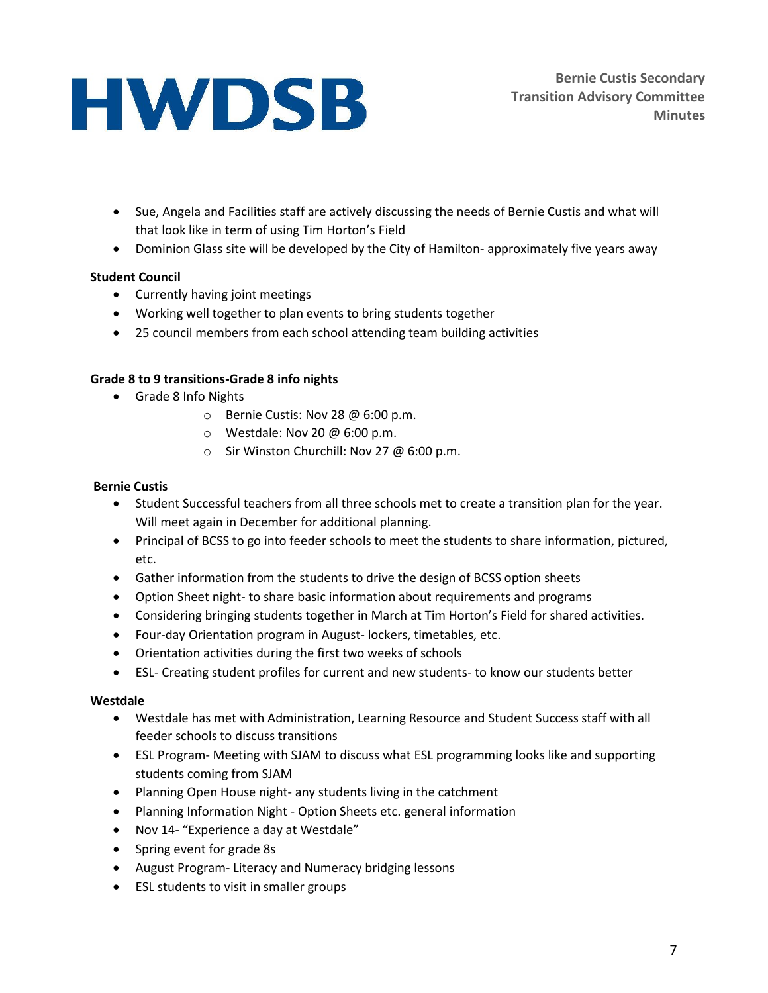- Sue, Angela and Facilities staff are actively discussing the needs of Bernie Custis and what will that look like in term of using Tim Horton's Field
- Dominion Glass site will be developed by the City of Hamilton- approximately five years away

### **Student Council**

- Currently having joint meetings
- Working well together to plan events to bring students together
- 25 council members from each school attending team building activities

#### **Grade 8 to 9 transitions-Grade 8 info nights**

- Grade 8 Info Nights
	- o Bernie Custis: Nov 28 @ 6:00 p.m.
	- $\circ$  Westdale: Nov 20 @ 6:00 p.m.
	- $\circ$  Sir Winston Churchill: Nov 27 @ 6:00 p.m.

### **Bernie Custis**

- Student Successful teachers from all three schools met to create a transition plan for the year. Will meet again in December for additional planning.
- Principal of BCSS to go into feeder schools to meet the students to share information, pictured, etc.
- Gather information from the students to drive the design of BCSS option sheets
- Option Sheet night- to share basic information about requirements and programs
- Considering bringing students together in March at Tim Horton's Field for shared activities.
- Four-day Orientation program in August- lockers, timetables, etc.
- Orientation activities during the first two weeks of schools
- ESL- Creating student profiles for current and new students- to know our students better

#### **Westdale**

- Westdale has met with Administration, Learning Resource and Student Success staff with all feeder schools to discuss transitions
- ESL Program- Meeting with SJAM to discuss what ESL programming looks like and supporting students coming from SJAM
- Planning Open House night- any students living in the catchment
- Planning Information Night Option Sheets etc. general information
- Nov 14- "Experience a day at Westdale"
- Spring event for grade 8s
- August Program- Literacy and Numeracy bridging lessons
- ESL students to visit in smaller groups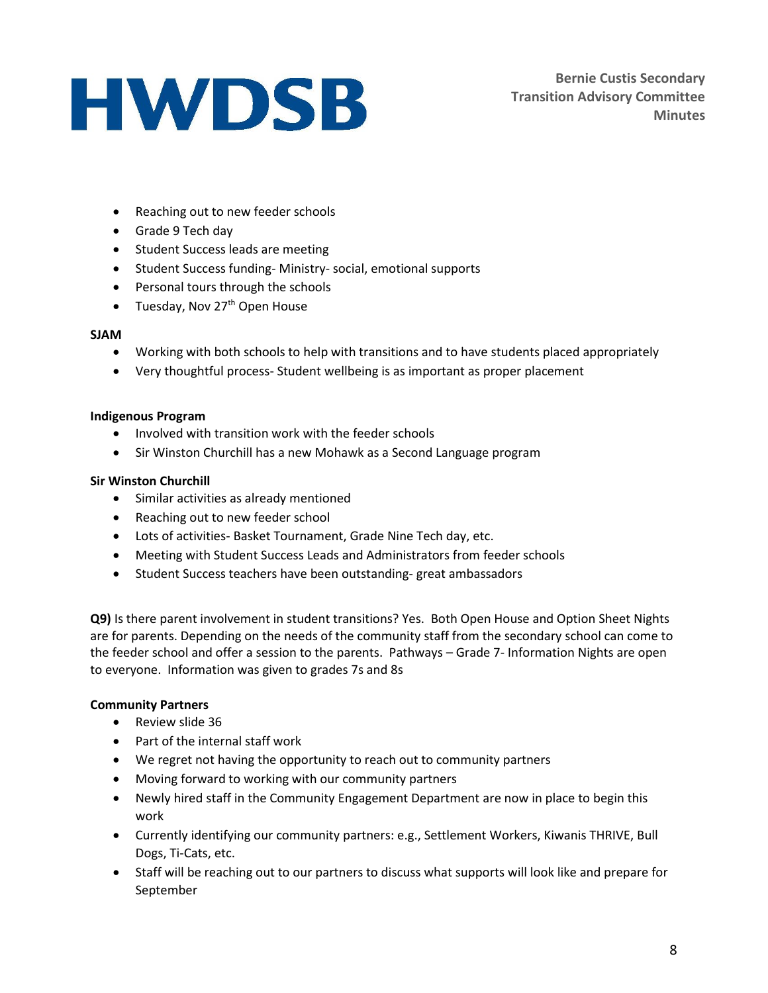**Bernie Custis Secondary Transition Advisory Committee Minutes**

- Reaching out to new feeder schools
- Grade 9 Tech day
- Student Success leads are meeting
- Student Success funding- Ministry- social, emotional supports
- Personal tours through the schools
- Tuesday, Nov  $27<sup>th</sup>$  Open House

#### **SJAM**

- Working with both schools to help with transitions and to have students placed appropriately
- Very thoughtful process- Student wellbeing is as important as proper placement

#### **Indigenous Program**

- Involved with transition work with the feeder schools
- Sir Winston Churchill has a new Mohawk as a Second Language program

#### **Sir Winston Churchill**

- Similar activities as already mentioned
- Reaching out to new feeder school
- Lots of activities- Basket Tournament, Grade Nine Tech day, etc.
- Meeting with Student Success Leads and Administrators from feeder schools
- Student Success teachers have been outstanding- great ambassadors

**Q9)** Is there parent involvement in student transitions? Yes. Both Open House and Option Sheet Nights are for parents. Depending on the needs of the community staff from the secondary school can come to the feeder school and offer a session to the parents. Pathways – Grade 7- Information Nights are open to everyone. Information was given to grades 7s and 8s

#### **Community Partners**

- Review slide 36
- Part of the internal staff work
- We regret not having the opportunity to reach out to community partners
- Moving forward to working with our community partners
- Newly hired staff in the Community Engagement Department are now in place to begin this work
- Currently identifying our community partners: e.g., Settlement Workers, Kiwanis THRIVE, Bull Dogs, Ti-Cats, etc.
- Staff will be reaching out to our partners to discuss what supports will look like and prepare for September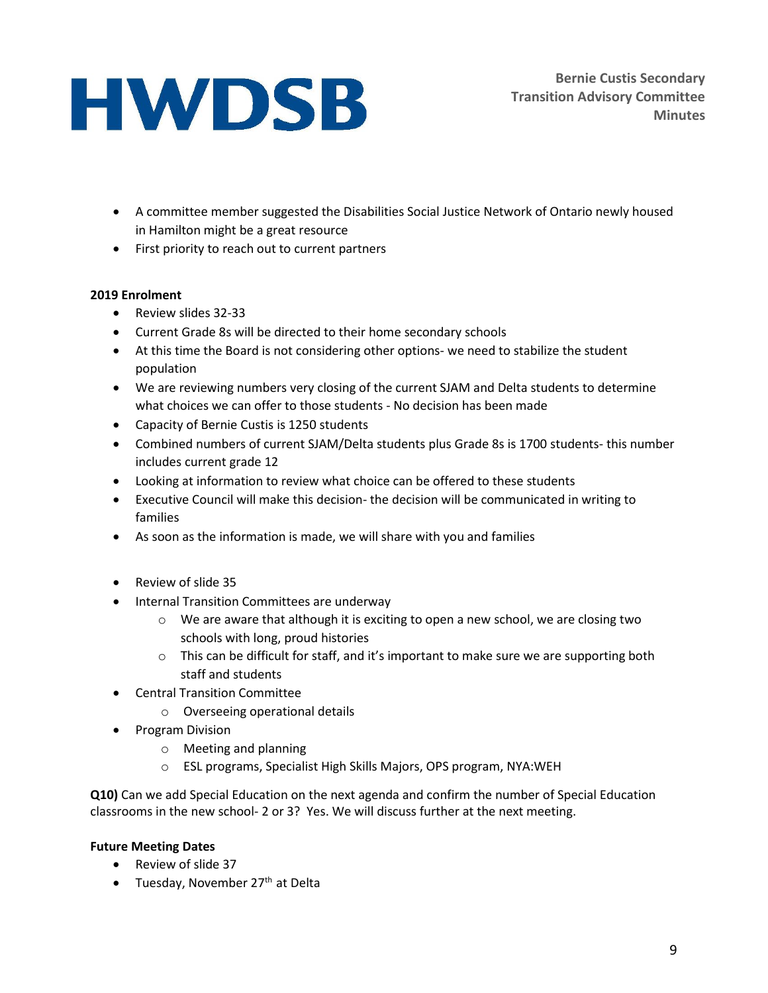- A committee member suggested the Disabilities Social Justice Network of Ontario newly housed in Hamilton might be a great resource
- First priority to reach out to current partners

## **2019 Enrolment**

- Review slides 32-33
- Current Grade 8s will be directed to their home secondary schools
- At this time the Board is not considering other options- we need to stabilize the student population
- We are reviewing numbers very closing of the current SJAM and Delta students to determine what choices we can offer to those students - No decision has been made
- Capacity of Bernie Custis is 1250 students
- Combined numbers of current SJAM/Delta students plus Grade 8s is 1700 students- this number includes current grade 12
- Looking at information to review what choice can be offered to these students
- Executive Council will make this decision- the decision will be communicated in writing to families
- As soon as the information is made, we will share with you and families
- Review of slide 35
- Internal Transition Committees are underway
	- $\circ$  We are aware that although it is exciting to open a new school, we are closing two schools with long, proud histories
	- $\circ$  This can be difficult for staff, and it's important to make sure we are supporting both staff and students
- Central Transition Committee
	- o Overseeing operational details
- Program Division
	- o Meeting and planning
	- o ESL programs, Specialist High Skills Majors, OPS program, NYA:WEH

**Q10)** Can we add Special Education on the next agenda and confirm the number of Special Education classrooms in the new school- 2 or 3? Yes. We will discuss further at the next meeting.

## **Future Meeting Dates**

- Review of slide 37
- Tuesday, November  $27<sup>th</sup>$  at Delta